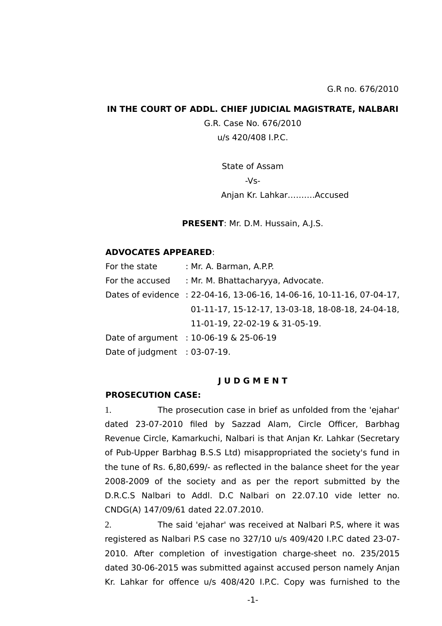### **IN THE COURT OF ADDL. CHIEF JUDICIAL MAGISTRATE, NALBARI**

G.R. Case No. 676/2010 u/s 420/408 I.P.C.

> State of Assam -Vs- Anjan Kr. Lahkar……….Accused

**PRESENT**: Mr. D.M. Hussain, A.J.S.

## **ADVOCATES APPEARED**:

| For the state                   | : Mr. A. Barman, A.P.P.                                               |
|---------------------------------|-----------------------------------------------------------------------|
| For the accused                 | : Mr. M. Bhattacharyya, Advocate.                                     |
|                                 | Dates of evidence : 22-04-16, 13-06-16, 14-06-16, 10-11-16, 07-04-17, |
|                                 | 01-11-17, 15-12-17, 13-03-18, 18-08-18, 24-04-18,                     |
|                                 | 11-01-19, 22-02-19 & 31-05-19.                                        |
|                                 | Date of argument : 10-06-19 & 25-06-19                                |
| Date of judgment $: 03-07-19$ . |                                                                       |
|                                 |                                                                       |

#### **J U D G M E N T**

### **PROSECUTION CASE:**

1. The prosecution case in brief as unfolded from the 'ejahar' dated 23-07-2010 filed by Sazzad Alam, Circle Officer, Barbhag Revenue Circle, Kamarkuchi, Nalbari is that Anjan Kr. Lahkar (Secretary of Pub-Upper Barbhag B.S.S Ltd) misappropriated the society's fund in the tune of Rs. 6,80,699/- as reflected in the balance sheet for the year 2008-2009 of the society and as per the report submitted by the D.R.C.S Nalbari to Addl. D.C Nalbari on 22.07.10 vide letter no. CNDG(A) 147/09/61 dated 22.07.2010.

2. The said 'ejahar' was received at Nalbari P.S, where it was registered as Nalbari P.S case no 327/10 u/s 409/420 I.P.C dated 23-07- 2010. After completion of investigation charge-sheet no. 235/2015 dated 30-06-2015 was submitted against accused person namely Anjan Kr. Lahkar for offence u/s 408/420 I.P.C. Copy was furnished to the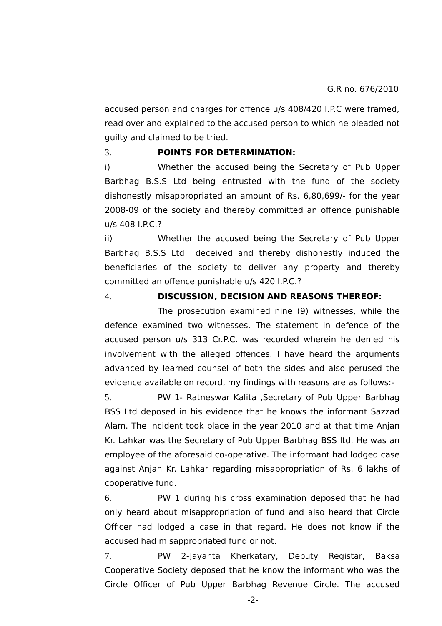accused person and charges for offence u/s 408/420 I.P.C were framed, read over and explained to the accused person to which he pleaded not guilty and claimed to be tried.

### 3. **POINTS FOR DETERMINATION:**

i) Whether the accused being the Secretary of Pub Upper Barbhag B.S.S Ltd being entrusted with the fund of the society dishonestly misappropriated an amount of Rs. 6,80,699/- for the year 2008-09 of the society and thereby committed an offence punishable u/s 408 I.P.C.?

ii) Whether the accused being the Secretary of Pub Upper Barbhag B.S.S Ltd deceived and thereby dishonestly induced the beneficiaries of the society to deliver any property and thereby committed an offence punishable u/s 420 I.P.C.?

4. **DISCUSSION, DECISION AND REASONS THEREOF:**

The prosecution examined nine (9) witnesses, while the defence examined two witnesses. The statement in defence of the accused person u/s 313 Cr.P.C. was recorded wherein he denied his involvement with the alleged offences. I have heard the arguments advanced by learned counsel of both the sides and also perused the evidence available on record, my findings with reasons are as follows:-

5. PW 1- Ratneswar Kalita ,Secretary of Pub Upper Barbhag BSS Ltd deposed in his evidence that he knows the informant Sazzad Alam. The incident took place in the year 2010 and at that time Anjan Kr. Lahkar was the Secretary of Pub Upper Barbhag BSS ltd. He was an employee of the aforesaid co-operative. The informant had lodged case against Anjan Kr. Lahkar regarding misappropriation of Rs. 6 lakhs of cooperative fund.

6. PW 1 during his cross examination deposed that he had only heard about misappropriation of fund and also heard that Circle Officer had lodged a case in that regard. He does not know if the accused had misappropriated fund or not.

7. PW 2-Jayanta Kherkatary, Deputy Registar, Baksa Cooperative Society deposed that he know the informant who was the Circle Officer of Pub Upper Barbhag Revenue Circle. The accused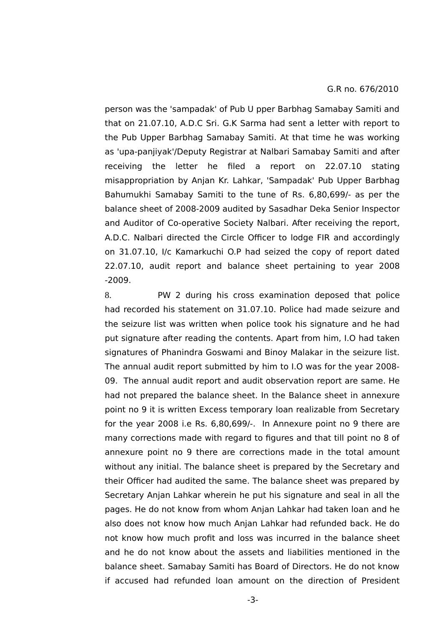person was the 'sampadak' of Pub U pper Barbhag Samabay Samiti and that on 21.07.10, A.D.C Sri. G.K Sarma had sent a letter with report to the Pub Upper Barbhag Samabay Samiti. At that time he was working as 'upa-panjiyak'/Deputy Registrar at Nalbari Samabay Samiti and after receiving the letter he filed a report on 22.07.10 stating misappropriation by Anjan Kr. Lahkar, 'Sampadak' Pub Upper Barbhag Bahumukhi Samabay Samiti to the tune of Rs. 6,80,699/- as per the balance sheet of 2008-2009 audited by Sasadhar Deka Senior Inspector and Auditor of Co-operative Society Nalbari. After receiving the report, A.D.C. Nalbari directed the Circle Officer to lodge FIR and accordingly on 31.07.10, I/c Kamarkuchi O.P had seized the copy of report dated 22.07.10, audit report and balance sheet pertaining to year 2008 -2009.

8. PW 2 during his cross examination deposed that police had recorded his statement on 31.07.10. Police had made seizure and the seizure list was written when police took his signature and he had put signature after reading the contents. Apart from him, I.O had taken signatures of Phanindra Goswami and Binoy Malakar in the seizure list. The annual audit report submitted by him to I.O was for the year 2008- 09. The annual audit report and audit observation report are same. He had not prepared the balance sheet. In the Balance sheet in annexure point no 9 it is written Excess temporary loan realizable from Secretary for the year 2008 i.e Rs. 6,80,699/-. In Annexure point no 9 there are many corrections made with regard to figures and that till point no 8 of annexure point no 9 there are corrections made in the total amount without any initial. The balance sheet is prepared by the Secretary and their Officer had audited the same. The balance sheet was prepared by Secretary Anjan Lahkar wherein he put his signature and seal in all the pages. He do not know from whom Anjan Lahkar had taken loan and he also does not know how much Anjan Lahkar had refunded back. He do not know how much profit and loss was incurred in the balance sheet and he do not know about the assets and liabilities mentioned in the balance sheet. Samabay Samiti has Board of Directors. He do not know if accused had refunded loan amount on the direction of President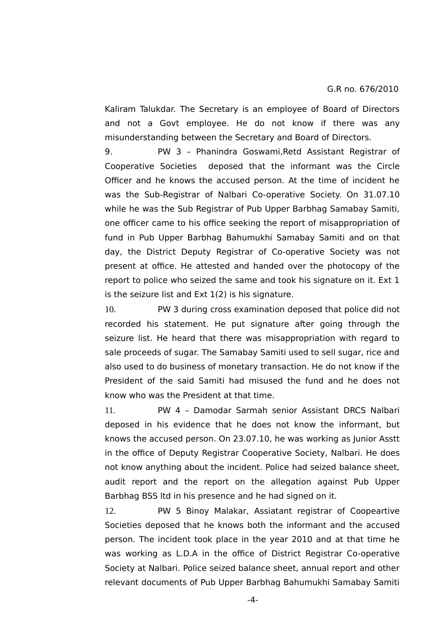Kaliram Talukdar. The Secretary is an employee of Board of Directors and not a Govt employee. He do not know if there was any misunderstanding between the Secretary and Board of Directors.

9. PW 3 – Phanindra Goswami,Retd Assistant Registrar of Cooperative Societies deposed that the informant was the Circle Officer and he knows the accused person. At the time of incident he was the Sub-Registrar of Nalbari Co-operative Society. On 31.07.10 while he was the Sub Registrar of Pub Upper Barbhag Samabay Samiti, one officer came to his office seeking the report of misappropriation of fund in Pub Upper Barbhag Bahumukhi Samabay Samiti and on that day, the District Deputy Registrar of Co-operative Society was not present at office. He attested and handed over the photocopy of the report to police who seized the same and took his signature on it. Ext 1 is the seizure list and Ext 1(2) is his signature.

10. PW 3 during cross examination deposed that police did not recorded his statement. He put signature after going through the seizure list. He heard that there was misappropriation with regard to sale proceeds of sugar. The Samabay Samiti used to sell sugar, rice and also used to do business of monetary transaction. He do not know if the President of the said Samiti had misused the fund and he does not know who was the President at that time.

11. PW 4 – Damodar Sarmah senior Assistant DRCS Nalbari deposed in his evidence that he does not know the informant, but knows the accused person. On 23.07.10, he was working as Junior Asstt in the office of Deputy Registrar Cooperative Society, Nalbari. He does not know anything about the incident. Police had seized balance sheet, audit report and the report on the allegation against Pub Upper Barbhag BSS ltd in his presence and he had signed on it.

12. PW 5 Binoy Malakar, Assiatant registrar of Coopeartive Societies deposed that he knows both the informant and the accused person. The incident took place in the year 2010 and at that time he was working as L.D.A in the office of District Registrar Co-operative Society at Nalbari. Police seized balance sheet, annual report and other relevant documents of Pub Upper Barbhag Bahumukhi Samabay Samiti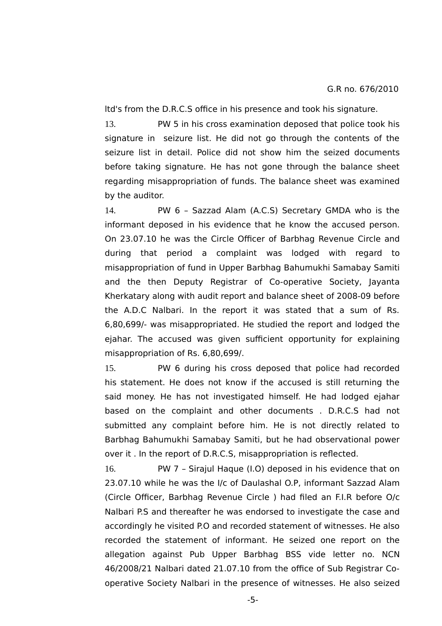ltd's from the D.R.C.S office in his presence and took his signature.

13. PW 5 in his cross examination deposed that police took his signature in seizure list. He did not go through the contents of the seizure list in detail. Police did not show him the seized documents before taking signature. He has not gone through the balance sheet regarding misappropriation of funds. The balance sheet was examined by the auditor.

14. PW 6 – Sazzad Alam (A.C.S) Secretary GMDA who is the informant deposed in his evidence that he know the accused person. On 23.07.10 he was the Circle Officer of Barbhag Revenue Circle and during that period a complaint was lodged with regard to misappropriation of fund in Upper Barbhag Bahumukhi Samabay Samiti and the then Deputy Registrar of Co-operative Society, Jayanta Kherkatary along with audit report and balance sheet of 2008-09 before the A.D.C Nalbari. In the report it was stated that a sum of Rs. 6,80,699/- was misappropriated. He studied the report and lodged the ejahar. The accused was given sufficient opportunity for explaining misappropriation of Rs. 6,80,699/.

15. PW 6 during his cross deposed that police had recorded his statement. He does not know if the accused is still returning the said money. He has not investigated himself. He had lodged ejahar based on the complaint and other documents . D.R.C.S had not submitted any complaint before him. He is not directly related to Barbhag Bahumukhi Samabay Samiti, but he had observational power over it . In the report of D.R.C.S, misappropriation is reflected.

16. PW 7 – Sirajul Haque (I.O) deposed in his evidence that on 23.07.10 while he was the I/c of Daulashal O.P, informant Sazzad Alam (Circle Officer, Barbhag Revenue Circle ) had filed an F.I.R before O/c Nalbari P.S and thereafter he was endorsed to investigate the case and accordingly he visited P.O and recorded statement of witnesses. He also recorded the statement of informant. He seized one report on the allegation against Pub Upper Barbhag BSS vide letter no. NCN 46/2008/21 Nalbari dated 21.07.10 from the office of Sub Registrar Cooperative Society Nalbari in the presence of witnesses. He also seized

-5-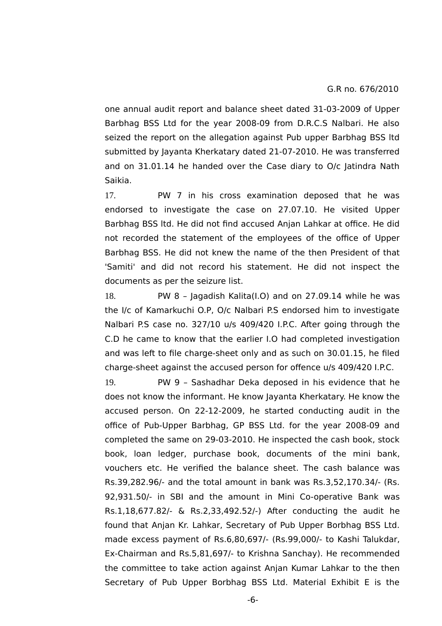one annual audit report and balance sheet dated 31-03-2009 of Upper Barbhag BSS Ltd for the year 2008-09 from D.R.C.S Nalbari. He also seized the report on the allegation against Pub upper Barbhag BSS ltd submitted by Jayanta Kherkatary dated 21-07-2010. He was transferred and on 31.01.14 he handed over the Case diary to O/c Jatindra Nath Saikia.

17. PW 7 in his cross examination deposed that he was endorsed to investigate the case on 27.07.10. He visited Upper Barbhag BSS ltd. He did not find accused Anjan Lahkar at office. He did not recorded the statement of the employees of the office of Upper Barbhag BSS. He did not knew the name of the then President of that 'Samiti' and did not record his statement. He did not inspect the documents as per the seizure list.

18. PW 8 – Jagadish Kalita(I.O) and on 27.09.14 while he was the I/c of Kamarkuchi O.P, O/c Nalbari P.S endorsed him to investigate Nalbari P.S case no. 327/10 u/s 409/420 I.P.C. After going through the C.D he came to know that the earlier I.O had completed investigation and was left to file charge-sheet only and as such on 30.01.15, he filed charge-sheet against the accused person for offence u/s 409/420 I.P.C.

19. PW 9 – Sashadhar Deka deposed in his evidence that he does not know the informant. He know Jayanta Kherkatary. He know the accused person. On 22-12-2009, he started conducting audit in the office of Pub-Upper Barbhag, GP BSS Ltd. for the year 2008-09 and completed the same on 29-03-2010. He inspected the cash book, stock book, loan ledger, purchase book, documents of the mini bank, vouchers etc. He verified the balance sheet. The cash balance was Rs.39,282.96/- and the total amount in bank was Rs.3,52,170.34/- (Rs. 92,931.50/- in SBI and the amount in Mini Co-operative Bank was Rs.1,18,677.82/- & Rs.2,33,492.52/-) After conducting the audit he found that Anjan Kr. Lahkar, Secretary of Pub Upper Borbhag BSS Ltd. made excess payment of Rs.6,80,697/- (Rs.99,000/- to Kashi Talukdar, Ex-Chairman and Rs.5,81,697/- to Krishna Sanchay). He recommended the committee to take action against Anjan Kumar Lahkar to the then Secretary of Pub Upper Borbhag BSS Ltd. Material Exhibit E is the

-6-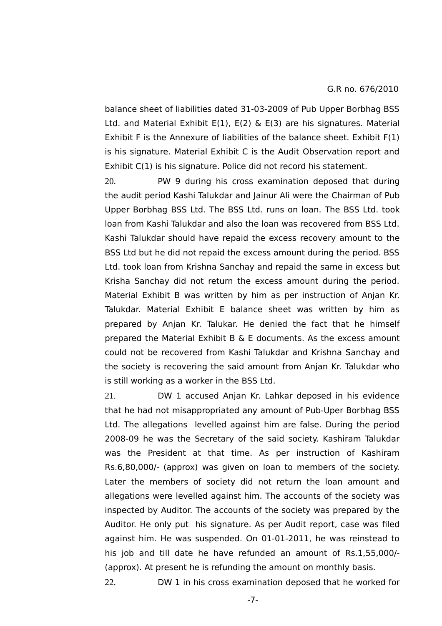balance sheet of liabilities dated 31-03-2009 of Pub Upper Borbhag BSS Ltd. and Material Exhibit E(1), E(2) & E(3) are his signatures. Material Exhibit F is the Annexure of liabilities of the balance sheet. Exhibit F(1) is his signature. Material Exhibit C is the Audit Observation report and Exhibit C(1) is his signature. Police did not record his statement.

20. PW 9 during his cross examination deposed that during the audit period Kashi Talukdar and Jainur Ali were the Chairman of Pub Upper Borbhag BSS Ltd. The BSS Ltd. runs on loan. The BSS Ltd. took loan from Kashi Talukdar and also the loan was recovered from BSS Ltd. Kashi Talukdar should have repaid the excess recovery amount to the BSS Ltd but he did not repaid the excess amount during the period. BSS Ltd. took loan from Krishna Sanchay and repaid the same in excess but Krisha Sanchay did not return the excess amount during the period. Material Exhibit B was written by him as per instruction of Anjan Kr. Talukdar. Material Exhibit E balance sheet was written by him as prepared by Anjan Kr. Talukar. He denied the fact that he himself prepared the Material Exhibit B & E documents. As the excess amount could not be recovered from Kashi Talukdar and Krishna Sanchay and the society is recovering the said amount from Anjan Kr. Talukdar who is still working as a worker in the BSS Ltd.

21. DW 1 accused Anjan Kr. Lahkar deposed in his evidence that he had not misappropriated any amount of Pub-Uper Borbhag BSS Ltd. The allegations levelled against him are false. During the period 2008-09 he was the Secretary of the said society. Kashiram Talukdar was the President at that time. As per instruction of Kashiram Rs.6,80,000/- (approx) was given on loan to members of the society. Later the members of society did not return the loan amount and allegations were levelled against him. The accounts of the society was inspected by Auditor. The accounts of the society was prepared by the Auditor. He only put his signature. As per Audit report, case was filed against him. He was suspended. On 01-01-2011, he was reinstead to his job and till date he have refunded an amount of Rs.1,55,000/- (approx). At present he is refunding the amount on monthly basis.

22. DW 1 in his cross examination deposed that he worked for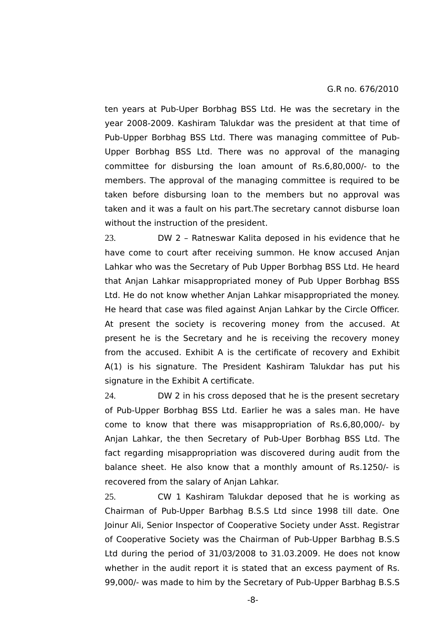ten years at Pub-Uper Borbhag BSS Ltd. He was the secretary in the year 2008-2009. Kashiram Talukdar was the president at that time of Pub-Upper Borbhag BSS Ltd. There was managing committee of Pub-Upper Borbhag BSS Ltd. There was no approval of the managing committee for disbursing the loan amount of Rs.6,80,000/- to the members. The approval of the managing committee is required to be taken before disbursing loan to the members but no approval was taken and it was a fault on his part.The secretary cannot disburse loan without the instruction of the president.

23. DW 2 – Ratneswar Kalita deposed in his evidence that he have come to court after receiving summon. He know accused Anjan Lahkar who was the Secretary of Pub Upper Borbhag BSS Ltd. He heard that Anjan Lahkar misappropriated money of Pub Upper Borbhag BSS Ltd. He do not know whether Anjan Lahkar misappropriated the money. He heard that case was filed against Anjan Lahkar by the Circle Officer. At present the society is recovering money from the accused. At present he is the Secretary and he is receiving the recovery money from the accused. Exhibit A is the certificate of recovery and Exhibit A(1) is his signature. The President Kashiram Talukdar has put his signature in the Exhibit A certificate.

24. DW 2 in his cross deposed that he is the present secretary of Pub-Upper Borbhag BSS Ltd. Earlier he was a sales man. He have come to know that there was misappropriation of Rs.6,80,000/- by Anjan Lahkar, the then Secretary of Pub-Uper Borbhag BSS Ltd. The fact regarding misappropriation was discovered during audit from the balance sheet. He also know that a monthly amount of Rs.1250/- is recovered from the salary of Anjan Lahkar.

25. CW 1 Kashiram Talukdar deposed that he is working as Chairman of Pub-Upper Barbhag B.S.S Ltd since 1998 till date. One Joinur Ali, Senior Inspector of Cooperative Society under Asst. Registrar of Cooperative Society was the Chairman of Pub-Upper Barbhag B.S.S Ltd during the period of 31/03/2008 to 31.03.2009. He does not know whether in the audit report it is stated that an excess payment of Rs. 99,000/- was made to him by the Secretary of Pub-Upper Barbhag B.S.S

-8-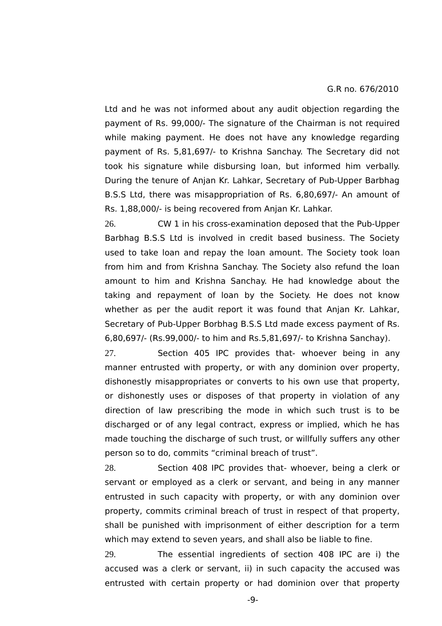Ltd and he was not informed about any audit objection regarding the payment of Rs. 99,000/- The signature of the Chairman is not required while making payment. He does not have any knowledge regarding payment of Rs. 5,81,697/- to Krishna Sanchay. The Secretary did not took his signature while disbursing loan, but informed him verbally. During the tenure of Anjan Kr. Lahkar, Secretary of Pub-Upper Barbhag B.S.S Ltd, there was misappropriation of Rs. 6,80,697/- An amount of Rs. 1,88,000/- is being recovered from Anjan Kr. Lahkar.

26. CW 1 in his cross-examination deposed that the Pub-Upper Barbhag B.S.S Ltd is involved in credit based business. The Society used to take loan and repay the loan amount. The Society took loan from him and from Krishna Sanchay. The Society also refund the loan amount to him and Krishna Sanchay. He had knowledge about the taking and repayment of loan by the Society. He does not know whether as per the audit report it was found that Anjan Kr. Lahkar, Secretary of Pub-Upper Borbhag B.S.S Ltd made excess payment of Rs. 6,80,697/- (Rs.99,000/- to him and Rs.5,81,697/- to Krishna Sanchay).

27. Section 405 IPC provides that- whoever being in any manner entrusted with property, or with any dominion over property, dishonestly misappropriates or converts to his own use that property, or dishonestly uses or disposes of that property in violation of any direction of law prescribing the mode in which such trust is to be discharged or of any legal contract, express or implied, which he has made touching the discharge of such trust, or willfully suffers any other person so to do, commits "criminal breach of trust".

28. Section 408 IPC provides that- whoever, being a clerk or servant or employed as a clerk or servant, and being in any manner entrusted in such capacity with property, or with any dominion over property, commits criminal breach of trust in respect of that property, shall be punished with imprisonment of either description for a term which may extend to seven years, and shall also be liable to fine.

29. The essential ingredients of section 408 IPC are i) the accused was a clerk or servant, ii) in such capacity the accused was entrusted with certain property or had dominion over that property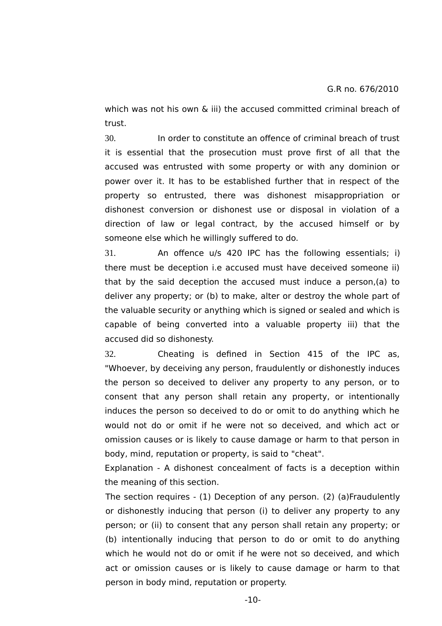which was not his own  $\&$  iii) the accused committed criminal breach of trust.

30. In order to constitute an offence of criminal breach of trust it is essential that the prosecution must prove first of all that the accused was entrusted with some property or with any dominion or power over it. It has to be established further that in respect of the property so entrusted, there was dishonest misappropriation or dishonest conversion or dishonest use or disposal in violation of a direction of law or legal contract, by the accused himself or by someone else which he willingly suffered to do.

31. An offence u/s 420 IPC has the following essentials; i) there must be deception i.e accused must have deceived someone ii) that by the said deception the accused must induce a person,(a) to deliver any property; or (b) to make, alter or destroy the whole part of the valuable security or anything which is signed or sealed and which is capable of being converted into a valuable property iii) that the accused did so dishonesty.

32. Cheating is defined in Section 415 of the IPC as, "Whoever, by deceiving any person, fraudulently or dishonestly induces the person so deceived to deliver any property to any person, or to consent that any person shall retain any property, or intentionally induces the person so deceived to do or omit to do anything which he would not do or omit if he were not so deceived, and which act or omission causes or is likely to cause damage or harm to that person in body, mind, reputation or property, is said to "cheat".

Explanation - A dishonest concealment of facts is a deception within the meaning of this section.

The section requires - (1) Deception of any person. (2) (a)Fraudulently or dishonestly inducing that person (i) to deliver any property to any person; or (ii) to consent that any person shall retain any property; or (b) intentionally inducing that person to do or omit to do anything which he would not do or omit if he were not so deceived, and which act or omission causes or is likely to cause damage or harm to that person in body mind, reputation or property.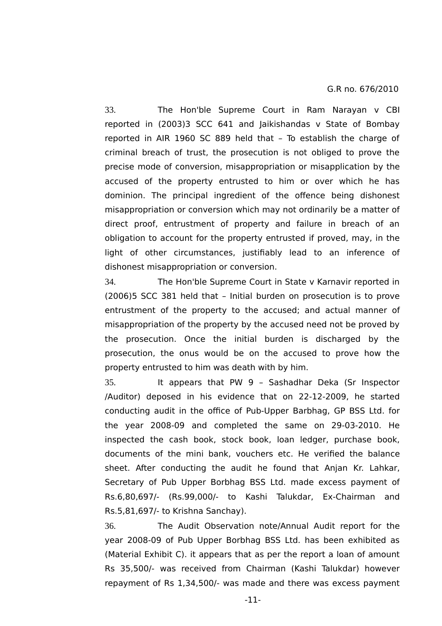33. The Hon'ble Supreme Court in Ram Narayan v CBI reported in (2003)3 SCC 641 and Jaikishandas v State of Bombay reported in AIR 1960 SC 889 held that – To establish the charge of criminal breach of trust, the prosecution is not obliged to prove the precise mode of conversion, misappropriation or misapplication by the accused of the property entrusted to him or over which he has dominion. The principal ingredient of the offence being dishonest misappropriation or conversion which may not ordinarily be a matter of direct proof, entrustment of property and failure in breach of an obligation to account for the property entrusted if proved, may, in the light of other circumstances, justifiably lead to an inference of dishonest misappropriation or conversion.

34. The Hon'ble Supreme Court in State v Karnavir reported in (2006)5 SCC 381 held that – Initial burden on prosecution is to prove entrustment of the property to the accused; and actual manner of misappropriation of the property by the accused need not be proved by the prosecution. Once the initial burden is discharged by the prosecution, the onus would be on the accused to prove how the property entrusted to him was death with by him.

35. It appears that PW 9 – Sashadhar Deka (Sr Inspector /Auditor) deposed in his evidence that on 22-12-2009, he started conducting audit in the office of Pub-Upper Barbhag, GP BSS Ltd. for the year 2008-09 and completed the same on 29-03-2010. He inspected the cash book, stock book, loan ledger, purchase book, documents of the mini bank, vouchers etc. He verified the balance sheet. After conducting the audit he found that Anjan Kr. Lahkar, Secretary of Pub Upper Borbhag BSS Ltd. made excess payment of Rs.6,80,697/- (Rs.99,000/- to Kashi Talukdar, Ex-Chairman and Rs.5,81,697/- to Krishna Sanchay).

36. The Audit Observation note/Annual Audit report for the year 2008-09 of Pub Upper Borbhag BSS Ltd. has been exhibited as (Material Exhibit C). it appears that as per the report a loan of amount Rs 35,500/- was received from Chairman (Kashi Talukdar) however repayment of Rs 1,34,500/- was made and there was excess payment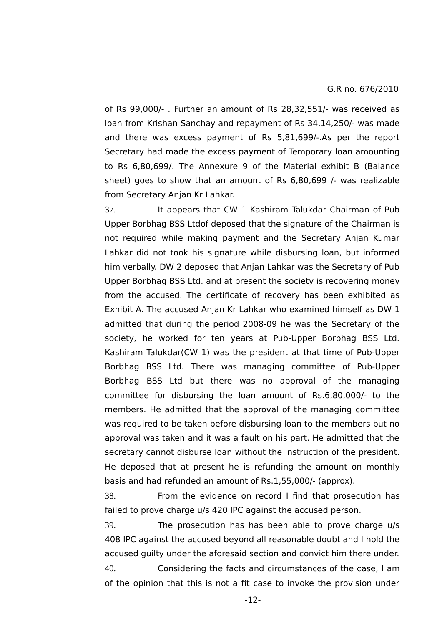of Rs 99,000/- . Further an amount of Rs 28,32,551/- was received as loan from Krishan Sanchay and repayment of Rs 34,14,250/- was made and there was excess payment of Rs 5,81,699/-.As per the report Secretary had made the excess payment of Temporary loan amounting to Rs 6,80,699/. The Annexure 9 of the Material exhibit B (Balance sheet) goes to show that an amount of Rs 6,80,699 /- was realizable from Secretary Anjan Kr Lahkar.

37. It appears that CW 1 Kashiram Talukdar Chairman of Pub Upper Borbhag BSS Ltdof deposed that the signature of the Chairman is not required while making payment and the Secretary Anjan Kumar Lahkar did not took his signature while disbursing loan, but informed him verbally. DW 2 deposed that Anjan Lahkar was the Secretary of Pub Upper Borbhag BSS Ltd. and at present the society is recovering money from the accused. The certificate of recovery has been exhibited as Exhibit A. The accused Anjan Kr Lahkar who examined himself as DW 1 admitted that during the period 2008-09 he was the Secretary of the society, he worked for ten years at Pub-Upper Borbhag BSS Ltd. Kashiram Talukdar(CW 1) was the president at that time of Pub-Upper Borbhag BSS Ltd. There was managing committee of Pub-Upper Borbhag BSS Ltd but there was no approval of the managing committee for disbursing the loan amount of Rs.6,80,000/- to the members. He admitted that the approval of the managing committee was required to be taken before disbursing loan to the members but no approval was taken and it was a fault on his part. He admitted that the secretary cannot disburse loan without the instruction of the president. He deposed that at present he is refunding the amount on monthly basis and had refunded an amount of Rs.1,55,000/- (approx).

38. From the evidence on record I find that prosecution has failed to prove charge u/s 420 IPC against the accused person.

39. The prosecution has has been able to prove charge u/s 408 IPC against the accused beyond all reasonable doubt and I hold the accused guilty under the aforesaid section and convict him there under. 40. Considering the facts and circumstances of the case, I am of the opinion that this is not a fit case to invoke the provision under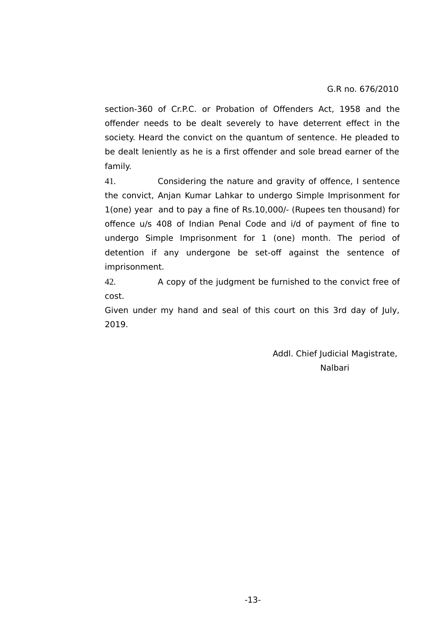section-360 of Cr.P.C. or Probation of Offenders Act, 1958 and the offender needs to be dealt severely to have deterrent effect in the society. Heard the convict on the quantum of sentence. He pleaded to be dealt leniently as he is a first offender and sole bread earner of the family.

41. Considering the nature and gravity of offence, I sentence the convict, Anjan Kumar Lahkar to undergo Simple Imprisonment for 1(one) year and to pay a fine of Rs.10,000/- (Rupees ten thousand) for offence u/s 408 of Indian Penal Code and i/d of payment of fine to undergo Simple Imprisonment for 1 (one) month. The period of detention if any undergone be set-off against the sentence of imprisonment.

42. A copy of the judgment be furnished to the convict free of cost.

Given under my hand and seal of this court on this 3rd day of July, 2019.

> Addl. Chief Judicial Magistrate, Nalbari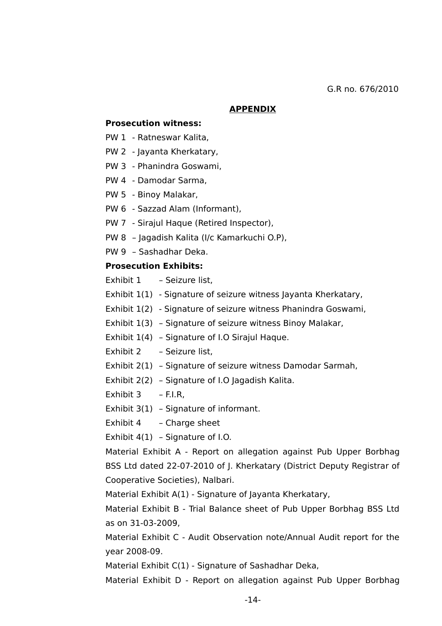### **APPENDIX**

### **Prosecution witness:**

- PW 1 Ratneswar Kalita,
- PW 2 Jayanta Kherkatary,
- PW 3 Phanindra Goswami,
- PW 4 Damodar Sarma,
- PW 5 Binoy Malakar,
- PW 6 Sazzad Alam (Informant),
- PW 7 Sirajul Haque (Retired Inspector),
- PW 8 Jagadish Kalita (I/c Kamarkuchi O.P),
- PW 9 Sashadhar Deka.

## **Prosecution Exhibits:**

Exhibit 1 – Seizure list,

- Exhibit 1(1) Signature of seizure witness Jayanta Kherkatary,
- Exhibit 1(2) Signature of seizure witness Phanindra Goswami,
- Exhibit 1(3) Signature of seizure witness Binoy Malakar,
- Exhibit 1(4) Signature of I.O Sirajul Haque.
- Exhibit 2 Seizure list,
- Exhibit 2(1) Signature of seizure witness Damodar Sarmah,
- Exhibit 2(2) Signature of I.O Jagadish Kalita.
- Exhibit 3 F.I.R,
- Exhibit 3(1) Signature of informant.
- Exhibit 4 Charge sheet

Exhibit 4(1) – Signature of I.O.

Material Exhibit A - Report on allegation against Pub Upper Borbhag BSS Ltd dated 22-07-2010 of J. Kherkatary (District Deputy Registrar of Cooperative Societies), Nalbari.

Material Exhibit A(1) - Signature of Jayanta Kherkatary,

Material Exhibit B - Trial Balance sheet of Pub Upper Borbhag BSS Ltd as on 31-03-2009,

Material Exhibit C - Audit Observation note/Annual Audit report for the year 2008-09.

Material Exhibit C(1) - Signature of Sashadhar Deka,

Material Exhibit D - Report on allegation against Pub Upper Borbhag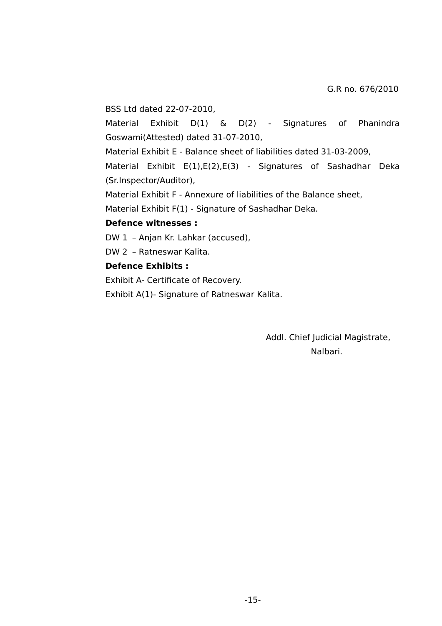BSS Ltd dated 22-07-2010,

Material Exhibit D(1) & D(2) - Signatures of Phanindra Goswami(Attested) dated 31-07-2010,

Material Exhibit E - Balance sheet of liabilities dated 31-03-2009,

Material Exhibit E(1),E(2),E(3) - Signatures of Sashadhar Deka (Sr.Inspector/Auditor),

Material Exhibit F - Annexure of liabilities of the Balance sheet,

Material Exhibit F(1) - Signature of Sashadhar Deka.

### **Defence witnesses :**

DW 1 – Anjan Kr. Lahkar (accused),

DW 2 – Ratneswar Kalita.

# **Defence Exhibits :**

Exhibit A- Certificate of Recovery.

Exhibit A(1)- Signature of Ratneswar Kalita.

 Addl. Chief Judicial Magistrate, Nalbari.